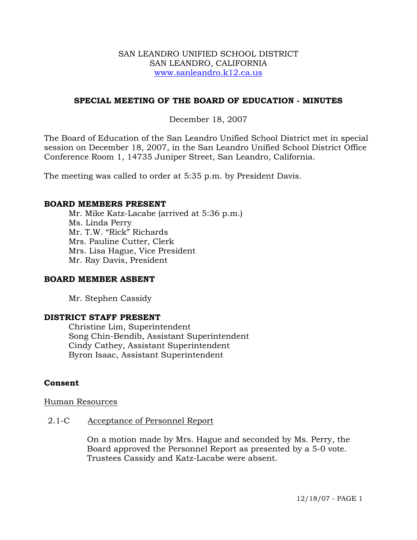### SAN LEANDRO UNIFIED SCHOOL DISTRICT SAN LEANDRO, CALIFORNIA www.sanleandro.k12.ca.us

## **SPECIAL MEETING OF THE BOARD OF EDUCATION - MINUTES**

## December 18, 2007

The Board of Education of the San Leandro Unified School District met in special session on December 18, 2007, in the San Leandro Unified School District Office Conference Room 1, 14735 Juniper Street, San Leandro, California.

The meeting was called to order at 5:35 p.m. by President Davis.

#### **BOARD MEMBERS PRESENT**

Mr. Mike Katz-Lacabe (arrived at 5:36 p.m.) Ms. Linda Perry Mr. T.W. "Rick" Richards Mrs. Pauline Cutter, Clerk Mrs. Lisa Hague, Vice President Mr. Ray Davis, President

### **BOARD MEMBER ASBENT**

Mr. Stephen Cassidy

### **DISTRICT STAFF PRESENT**

Christine Lim, Superintendent Song Chin-Bendib, Assistant Superintendent Cindy Cathey, Assistant Superintendent Byron Isaac, Assistant Superintendent

### **Consent**

Human Resources

#### 2.1-C Acceptance of Personnel Report

 On a motion made by Mrs. Hague and seconded by Ms. Perry, the Board approved the Personnel Report as presented by a 5-0 vote. Trustees Cassidy and Katz-Lacabe were absent.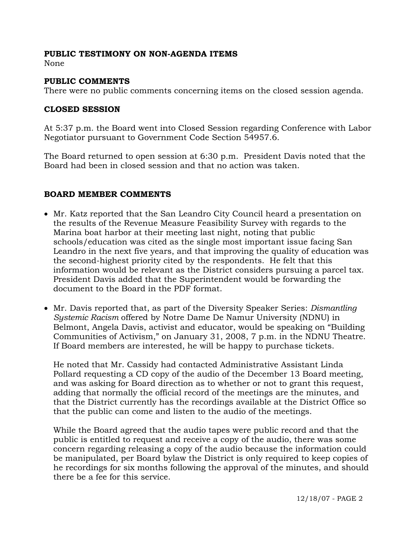## **PUBLIC TESTIMONY ON NON-AGENDA ITEMS**

None

## **PUBLIC COMMENTS**

There were no public comments concerning items on the closed session agenda.

## **CLOSED SESSION**

At 5:37 p.m. the Board went into Closed Session regarding Conference with Labor Negotiator pursuant to Government Code Section 54957.6.

The Board returned to open session at 6:30 p.m. President Davis noted that the Board had been in closed session and that no action was taken.

# **BOARD MEMBER COMMENTS**

- Mr. Katz reported that the San Leandro City Council heard a presentation on the results of the Revenue Measure Feasibility Survey with regards to the Marina boat harbor at their meeting last night, noting that public schools/education was cited as the single most important issue facing San Leandro in the next five years, and that improving the quality of education was the second-highest priority cited by the respondents. He felt that this information would be relevant as the District considers pursuing a parcel tax. President Davis added that the Superintendent would be forwarding the document to the Board in the PDF format.
- Mr. Davis reported that, as part of the Diversity Speaker Series: *Dismantling Systemic Racism* offered by Notre Dame De Namur University (NDNU) in Belmont, Angela Davis, activist and educator, would be speaking on "Building Communities of Activism," on January 31, 2008, 7 p.m. in the NDNU Theatre. If Board members are interested, he will be happy to purchase tickets.

 He noted that Mr. Cassidy had contacted Administrative Assistant Linda Pollard requesting a CD copy of the audio of the December 13 Board meeting, and was asking for Board direction as to whether or not to grant this request, adding that normally the official record of the meetings are the minutes, and that the District currently has the recordings available at the District Office so that the public can come and listen to the audio of the meetings.

 While the Board agreed that the audio tapes were public record and that the public is entitled to request and receive a copy of the audio, there was some concern regarding releasing a copy of the audio because the information could be manipulated, per Board bylaw the District is only required to keep copies of he recordings for six months following the approval of the minutes, and should there be a fee for this service.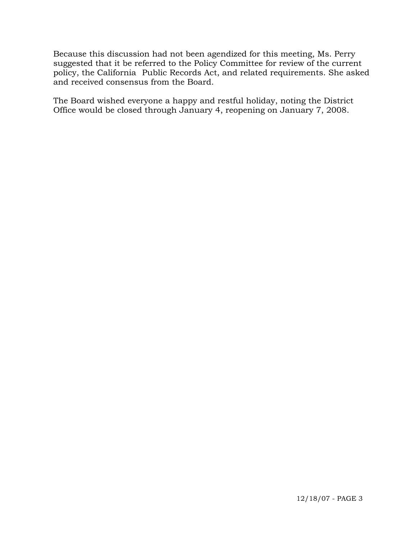Because this discussion had not been agendized for this meeting, Ms. Perry suggested that it be referred to the Policy Committee for review of the current policy, the California Public Records Act, and related requirements. She asked and received consensus from the Board.

 The Board wished everyone a happy and restful holiday, noting the District Office would be closed through January 4, reopening on January 7, 2008.